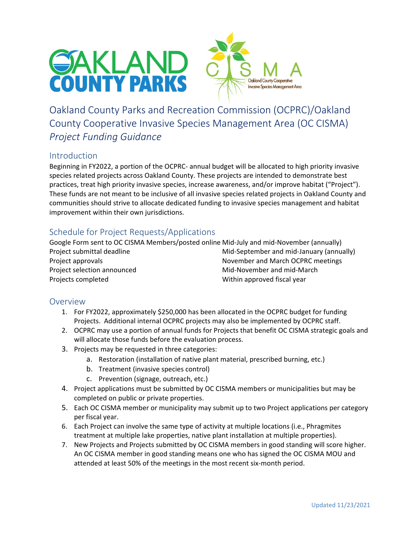



Oakland County Parks and Recreation Commission (OCPRC)/Oakland County Cooperative Invasive Species Management Area (OC CISMA) *Project Funding Guidance*

## Introduction

Beginning in FY2022, a portion of the OCPRC‐ annual budget will be allocated to high priority invasive species related projects across Oakland County. These projects are intended to demonstrate best practices, treat high priority invasive species, increase awareness, and/or improve habitat ("Project"). These funds are not meant to be inclusive of all invasive species related projects in Oakland County and communities should strive to allocate dedicated funding to invasive species management and habitat improvement within their own jurisdictions.

# Schedule for Project Requests/Applications

Google Form sent to OC CISMA Members/posted online Mid‐July and mid‐November (annually) Project submittal deadline Mid‐September and mid‐January (annually) Project approvals *Project approvals*  **EXEC** is a strategies and March OCPRC meetings Project selection announced Mid‐November and mid‐March Projects completed **The Complete Completed Completed Within approved fiscal year** 

### **Overview**

- 1. For FY2022, approximately \$250,000 has been allocated in the OCPRC budget for funding Projects. Additional internal OCPRC projects may also be implemented by OCPRC staff.
- 2. OCPRC may use a portion of annual funds for Projects that benefit OC CISMA strategic goals and will allocate those funds before the evaluation process.
- 3. Projects may be requested in three categories:
	- a. Restoration (installation of native plant material, prescribed burning, etc.)
	- b. Treatment (invasive species control)
	- c. Prevention (signage, outreach, etc.)
- 4. Project applications must be submitted by OC CISMA members or municipalities but may be completed on public or private properties.
- 5. Each OC CISMA member or municipality may submit up to two Project applications per category per fiscal year.
- 6. Each Project can involve the same type of activity at multiple locations (i.e., Phragmites treatment at multiple lake properties, native plant installation at multiple properties).
- 7. New Projects and Projects submitted by OC CISMA members in good standing will score higher. An OC CISMA member in good standing means one who has signed the OC CISMA MOU and attended at least 50% of the meetings in the most recent six‐month period.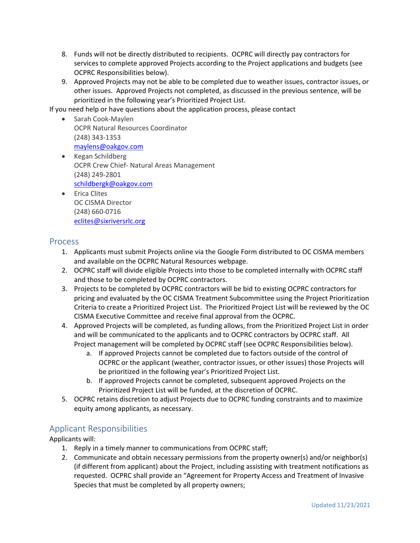- 8. Funds will not be directly distributed to recipients. OCPRC will directly pay contractors for services to complete approved Projects according to the Project applications and budgets (see OCPRC Responsibilities below).
- 9. Approved Projects may not be able to be completed due to weather issues, contractor issues, or other issues. Approved Projects not completed, as discussed in the previous sentence, will be prioritized in the following year's Prioritized Project List.

If you need help or have questions about the application process, please contact

- Sarah Cook-Maylen OCPR Natural Resources Coordinator (248) 343‐1353 maylens@oakgov.com
- Kegan Schildberg OCPR Crew Chief‐ Natural Areas Management (248) 249‐2801 schildbergk@oakgov.com
- **•** Erica Clites OC CISMA Director (248) 660‐0716 eclites@sixriversrlc.org

#### **Process**

- 1. Applicants must submit Projects online via the Google Form distributed to OC CISMA members and available on the OCPRC Natural Resources webpage.
- 2. OCPRC staff will divide eligible Projects into those to be completed internally with OCPRC staff and those to be completed by OCPRC contractors.
- 3. Projects to be completed by OCPRC contractors will be bid to existing OCPRC contractors for pricing and evaluated by the OC CISMA Treatment Subcommittee using the Project Prioritization Criteria to create a Prioritized Project List. The Prioritized Project List will be reviewed by the OC CISMA Executive Committee and receive final approval from the OCPRC.
- 4. Approved Projects will be completed, as funding allows, from the Prioritized Project List in order and will be communicated to the applicants and to OCPRC contractors by OCPRC staff. All Project management will be completed by OCPRC staff (see OCPRC Responsibilities below).
	- a. If approved Projects cannot be completed due to factors outside of the control of OCPRC or the applicant (weather, contractor issues, or other issues) those Projects will be prioritized in the following year's Prioritized Project List.
	- b. If approved Projects cannot be completed, subsequent approved Projects on the Prioritized Project List will be funded, at the discretion of OCPRC.
- 5. OCPRC retains discretion to adjust Projects due to OCPRC funding constraints and to maximize equity among applicants, as necessary.

### Applicant Responsibilities

Applicants will:

- 1. Reply in a timely manner to communications from OCPRC staff;
- 2. Communicate and obtain necessary permissions from the property owner(s) and/or neighbor(s) (if different from applicant) about the Project, including assisting with treatment notifications as requested. OCPRC shall provide an "Agreement for Property Access and Treatment of Invasive Species that must be completed by all property owners;